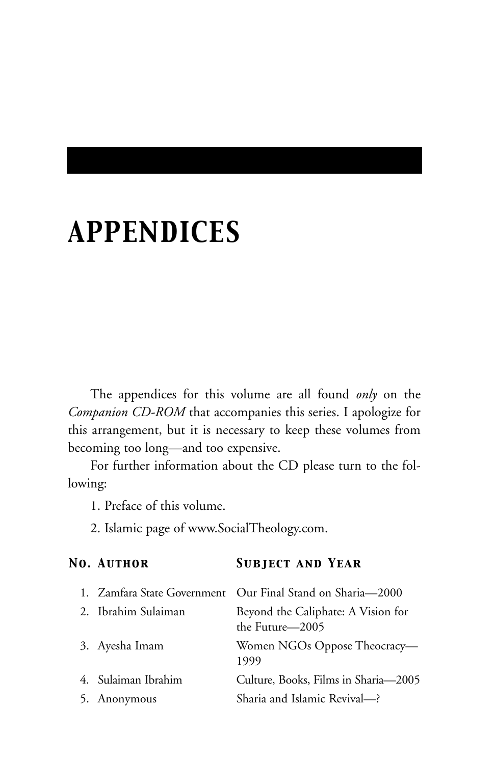## *APPENDICES*

The appendices for this volume are all found *only* on the *Companion CD-ROM* that accompanies this series. I apologize for this arrangement, but it is necessary to keep these volumes from becoming too long—and too expensive.

For further information about the CD please turn to the following:

1. Preface of this volume.

2. Islamic page of www.SocialTheology.com.

| No. Author          | <b>SUBJECT AND YEAR</b>                                    |
|---------------------|------------------------------------------------------------|
|                     | 1. Zamfara State Government Our Final Stand on Sharia—2000 |
| 2. Ibrahim Sulaiman | Beyond the Caliphate: A Vision for<br>the Future—2005      |
| 3. Ayesha Imam      | Women NGOs Oppose Theocracy-<br>1999                       |
| 4. Sulaiman Ibrahim | Culture, Books, Films in Sharia—2005                       |
| 5. Anonymous        | Sharia and Islamic Revival-?                               |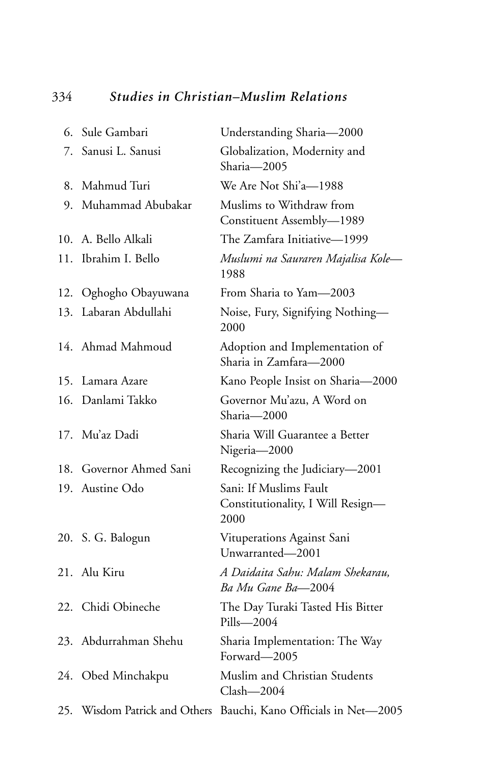## 334 *Studies in Christian–Muslim Relations*

|     | 6. Sule Gambari               | Understanding Sharia-2000                                           |
|-----|-------------------------------|---------------------------------------------------------------------|
| 7.  | Sanusi L. Sanusi              | Globalization, Modernity and<br>Sharia-2005                         |
|     | 8. Mahmud Turi                | We Are Not Shi'a-1988                                               |
|     | 9. Muhammad Abubakar          | Muslims to Withdraw from<br>Constituent Assembly-1989               |
|     | 10. A. Bello Alkali           | The Zamfara Initiative-1999                                         |
|     | 11. Ibrahim I. Bello          | Muslumi na Sauraren Majalisa Kole-<br>1988                          |
|     | 12. Oghogho Obayuwana         | From Sharia to Yam-2003                                             |
|     | 13. Labaran Abdullahi         | Noise, Fury, Signifying Nothing-<br>2000                            |
|     | 14. Ahmad Mahmoud             | Adoption and Implementation of<br>Sharia in Zamfara-2000            |
| 15. | Lamara Azare                  | Kano People Insist on Sharia-2000                                   |
|     | 16. Danlami Takko             | Governor Mu'azu, A Word on<br>Sharia-2000                           |
|     | 17. Mu'az Dadi                | Sharia Will Guarantee a Better<br>Nigeria-2000                      |
|     | 18. Governor Ahmed Sani       | Recognizing the Judiciary-2001                                      |
|     | 19. Austine Odo               | Sani: If Muslims Fault<br>Constitutionality, I Will Resign-<br>2000 |
|     | 20. S. G. Balogun             | Vituperations Against Sani<br>Unwarranted-2001                      |
|     | 21. Alu Kiru                  | A Daidaita Sahu: Malam Shekarau,<br>Ba Mu Gane Ba-2004              |
|     | 22. Chidi Obineche            | The Day Turaki Tasted His Bitter<br>Pills-2004                      |
|     | 23. Abdurrahman Shehu         | Sharia Implementation: The Way<br>Forward-2005                      |
|     | 24. Obed Minchakpu            | Muslim and Christian Students<br>$Clash-2004$                       |
|     | 25. Wisdom Patrick and Others | Bauchi, Kano Officials in Net-2005                                  |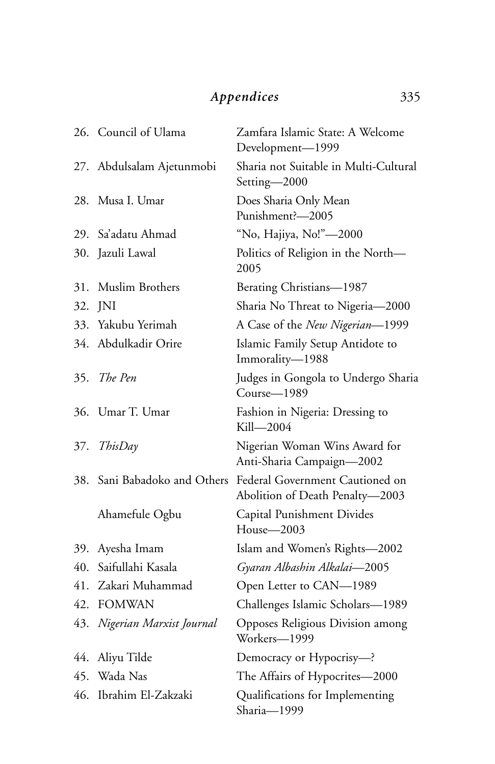## *Appendices* 335

|     | 26. Council of Ulama         | Zamfara Islamic State: A Welcome<br>Development-1999               |
|-----|------------------------------|--------------------------------------------------------------------|
|     | 27. Abdulsalam Ajetunmobi    | Sharia not Suitable in Multi-Cultural<br>Setting-2000              |
| 28. | Musa I. Umar                 | Does Sharia Only Mean<br>Punishment?-2005                          |
| 29. | - Sa'adatu Ahmad             | "No, Hajiya, No!"-2000                                             |
|     | 30. Jazuli Lawal             | Politics of Religion in the North-<br>2005                         |
| 31. | Muslim Brothers              | Berating Christians-1987                                           |
| 32. | - INI                        | Sharia No Threat to Nigeria-2000                                   |
|     | 33. Yakubu Yerimah           | A Case of the New Nigerian-1999                                    |
|     | 34. Abdulkadir Orire         | Islamic Family Setup Antidote to<br>Immorality-1988                |
| 35. | The Pen                      | Judges in Gongola to Undergo Sharia<br>Course-1989                 |
| 36. | Umar T. Umar                 | Fashion in Nigeria: Dressing to<br>Kill—2004                       |
| 37. | ThisDay                      | Nigerian Woman Wins Award for<br>Anti-Sharia Campaign-2002         |
|     | 38. Sani Babadoko and Others | Federal Government Cautioned on<br>Abolition of Death Penalty-2003 |
|     | Ahamefule Ogbu               | Capital Punishment Divides<br>House-2003                           |
|     | 39. Ayesha Imam              | Islam and Women's Rights-2002                                      |
| 40. | Saifullahi Kasala            | Gyaran Albashin Alkalai-2005                                       |
| 41. | Zakari Muhammad              | Open Letter to CAN-1989                                            |
| 42. | <b>FOMWAN</b>                | Challenges Islamic Scholars-1989                                   |
| 43. | Nigerian Marxist Journal     | Opposes Religious Division among<br>Workers-1999                   |
| 44. | Aliyu Tilde                  | Democracy or Hypocrisy-?                                           |
|     | 45. Wada Nas                 | The Affairs of Hypocrites-2000                                     |
| 46. | Ibrahim El-Zakzaki           | Qualifications for Implementing<br>Sharia-1999                     |